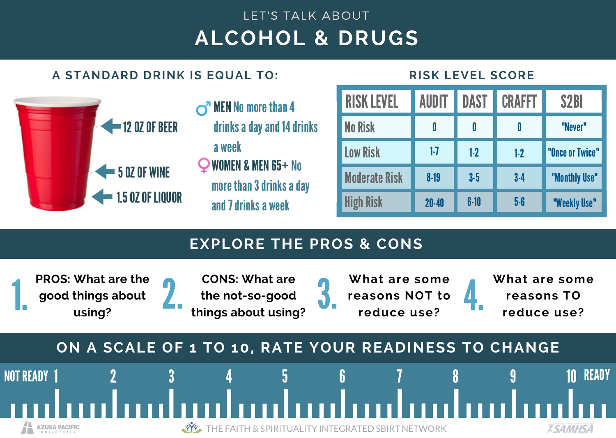## **ALCOHOL & DRUGS** LET'S TALK ABOUT

## **A STANDARD DRINK IS EQUAL TO:**





| <b>RISK LEVEL</b>    | AUDIT     | DAST   | <b>CRAFFT</b> | S <sub>2</sub> BI |
|----------------------|-----------|--------|---------------|-------------------|
| No Risk              | 0         | 0      | 0             | "Never"           |
| <b>Low Risk</b>      | 1-7       | $1-2$  | $1-2$         | "Once or Twice"   |
| <b>Moderate Risk</b> | $8-19$    | $3-5$  | $3-4$         | "Monthly Use"     |
| <b>High Risk</b>     | $20 - 40$ | $6-10$ | 5-6           | "Weekly Use"      |

## **EXPLORE THE PROS & CONS**

**PROS: What are the good things about using?**



**What are some reasons NOT to reduce use?**



READY

**XSAMHSA** 

## **ON A SCALE OF 1 TO 10, RATE YOUR READINESS TO CHANGE**



THE FAITH & SPIRITUALITY INTEGRATED SBIRT NETWORK